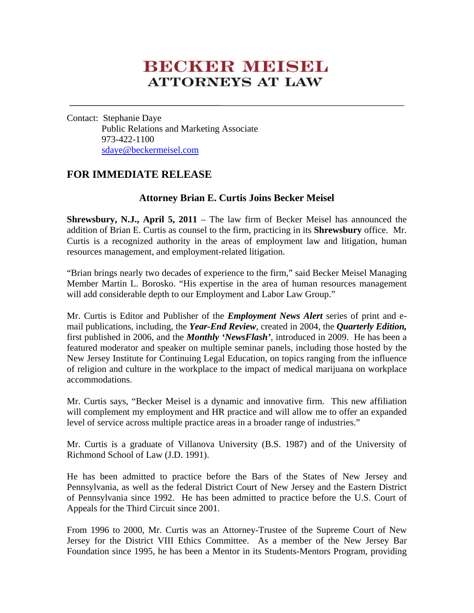# **BECKER MEISEL ATTORNEYS AT LAW**

Contact: Stephanie Daye Public Relations and Marketing Associate 973-422-1100 sdaye@beckermeisel.com

# **FOR IMMEDIATE RELEASE**

## **Attorney Brian E. Curtis Joins Becker Meisel**

**Shrewsbury, N.J., April 5, 2011** – The law firm of Becker Meisel has announced the addition of Brian E. Curtis as counsel to the firm, practicing in its **Shrewsbury** office. Mr. Curtis is a recognized authority in the areas of employment law and litigation, human resources management, and employment-related litigation.

"Brian brings nearly two decades of experience to the firm," said Becker Meisel Managing Member Martin L. Borosko. "His expertise in the area of human resources management will add considerable depth to our Employment and Labor Law Group."

Mr. Curtis is Editor and Publisher of the *Employment News Alert* series of print and email publications, including, the *Year-End Review*, created in 2004, the *Quarterly Edition,* first published in 2006, and the *Monthly 'NewsFlash'*, introduced in 2009. He has been a featured moderator and speaker on multiple seminar panels, including those hosted by the New Jersey Institute for Continuing Legal Education, on topics ranging from the influence of religion and culture in the workplace to the impact of medical marijuana on workplace accommodations.

Mr. Curtis says, "Becker Meisel is a dynamic and innovative firm. This new affiliation will complement my employment and HR practice and will allow me to offer an expanded level of service across multiple practice areas in a broader range of industries."

Mr. Curtis is a graduate of Villanova University (B.S. 1987) and of the University of Richmond School of Law (J.D. 1991).

He has been admitted to practice before the Bars of the States of New Jersey and Pennsylvania, as well as the federal District Court of New Jersey and the Eastern District of Pennsylvania since 1992. He has been admitted to practice before the U.S. Court of Appeals for the Third Circuit since 2001.

From 1996 to 2000, Mr. Curtis was an Attorney-Trustee of the Supreme Court of New Jersey for the District VIII Ethics Committee. As a member of the New Jersey Bar Foundation since 1995, he has been a Mentor in its Students-Mentors Program, providing